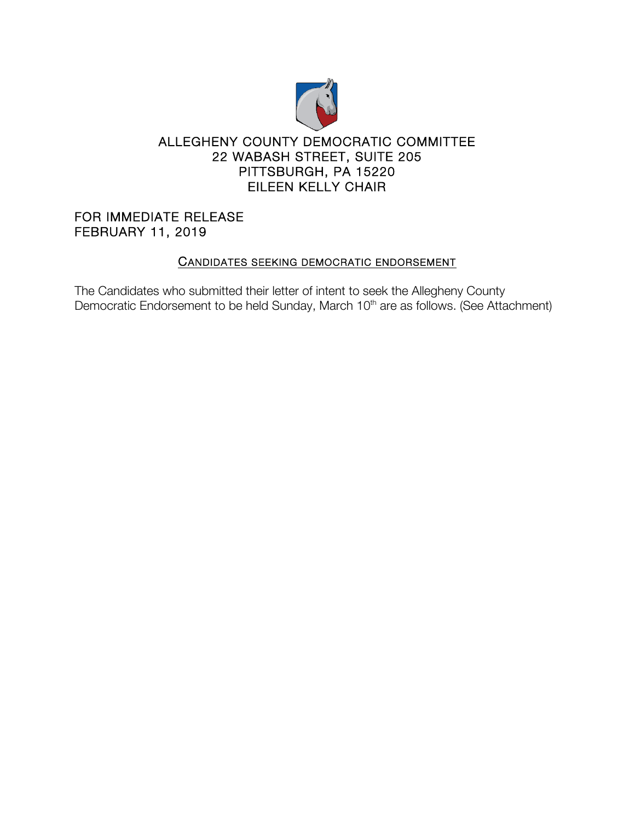

## ALLEGHENY COUNTY DEMOCRATIC COMMITTEE 22 WABASH STREET, SUITE 205 PITTSBURGH, PA 15220 EILEEN KELLY CHAIR

FOR IMMEDIATE RELEASE FEBRUARY 11, 2019

## CANDIDATES SEEKING DEMOCRATIC ENDORSEMENT

The Candidates who submitted their letter of intent to seek the Allegheny County Democratic Endorsement to be held Sunday, March 10<sup>th</sup> are as follows. (See Attachment)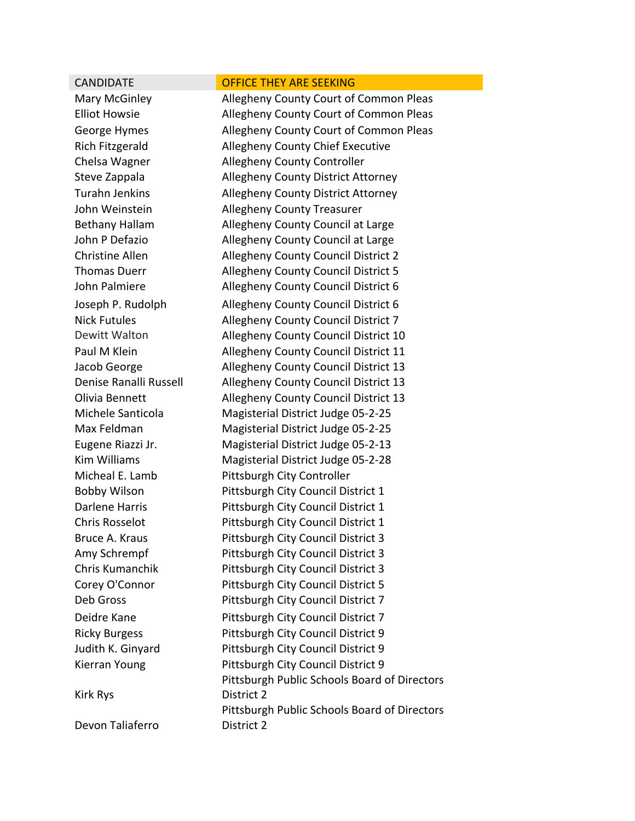| <b>CANDIDATE</b>       | <b>OFFICE THEY ARE SEEKING</b>               |
|------------------------|----------------------------------------------|
| Mary McGinley          | Allegheny County Court of Common Pleas       |
| <b>Elliot Howsie</b>   | Allegheny County Court of Common Pleas       |
| George Hymes           | Allegheny County Court of Common Pleas       |
| <b>Rich Fitzgerald</b> | Allegheny County Chief Executive             |
| Chelsa Wagner          | Allegheny County Controller                  |
| Steve Zappala          | <b>Allegheny County District Attorney</b>    |
| <b>Turahn Jenkins</b>  | Allegheny County District Attorney           |
| John Weinstein         | <b>Allegheny County Treasurer</b>            |
| <b>Bethany Hallam</b>  | Allegheny County Council at Large            |
| John P Defazio         | Allegheny County Council at Large            |
| <b>Christine Allen</b> | Allegheny County Council District 2          |
| <b>Thomas Duerr</b>    | Allegheny County Council District 5          |
| John Palmiere          | Allegheny County Council District 6          |
| Joseph P. Rudolph      | Allegheny County Council District 6          |
| <b>Nick Futules</b>    | Allegheny County Council District 7          |
| Dewitt Walton          | Allegheny County Council District 10         |
| Paul M Klein           | Allegheny County Council District 11         |
| Jacob George           | Allegheny County Council District 13         |
| Denise Ranalli Russell | Allegheny County Council District 13         |
| Olivia Bennett         | Allegheny County Council District 13         |
| Michele Santicola      | Magisterial District Judge 05-2-25           |
| Max Feldman            | Magisterial District Judge 05-2-25           |
| Eugene Riazzi Jr.      | Magisterial District Judge 05-2-13           |
| <b>Kim Williams</b>    | Magisterial District Judge 05-2-28           |
| Micheal E. Lamb        | Pittsburgh City Controller                   |
| <b>Bobby Wilson</b>    | Pittsburgh City Council District 1           |
| <b>Darlene Harris</b>  | Pittsburgh City Council District 1           |
| <b>Chris Rosselot</b>  | Pittsburgh City Council District 1           |
| Bruce A. Kraus         | Pittsburgh City Council District 3           |
| Amy Schrempf           | Pittsburgh City Council District 3           |
| Chris Kumanchik        | Pittsburgh City Council District 3           |
| Corey O'Connor         | Pittsburgh City Council District 5           |
| Deb Gross              | Pittsburgh City Council District 7           |
| Deidre Kane            | Pittsburgh City Council District 7           |
| <b>Ricky Burgess</b>   | Pittsburgh City Council District 9           |
| Judith K. Ginyard      | Pittsburgh City Council District 9           |
| Kierran Young          | Pittsburgh City Council District 9           |
|                        | Pittsburgh Public Schools Board of Directors |
| <b>Kirk Rys</b>        | District 2                                   |
|                        | Pittsburgh Public Schools Board of Directors |
| Devon Taliaferro       | District 2                                   |